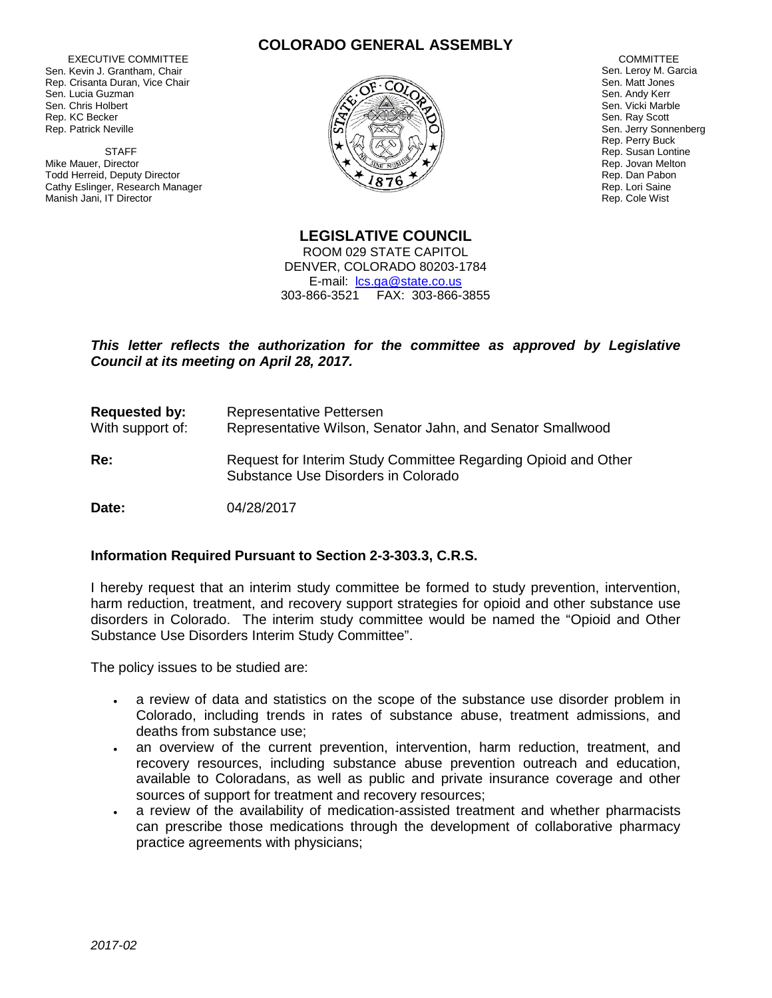EXECUTIVE COMMITTEE Sen. Kevin J. Grantham, Chair Rep. Crisanta Duran, Vice Chair Sen. Lucia Guzman Sen. Chris Holbert Rep. KC Becker Rep. Patrick Neville

 STAFF Mike Mauer, Director Todd Herreid, Deputy Director Cathy Eslinger, Research Manager Manish Jani, IT Director

## **COLORADO GENERAL ASSEMBLY**



**COMMITTEE** Sen. Leroy M. Garcia Sen. Matt Jones Sen. Andy Kerr Sen. Vicki Marble Sen. Ray Scott Sen. Jerry Sonnenberg Rep. Perry Buck Rep. Susan Lontine Rep. Jovan Melton Rep. Dan Pabon Rep. Lori Saine Rep. Cole Wist

**LEGISLATIVE COUNCIL** ROOM 029 STATE CAPITOL DENVER, COLORADO 80203-1784 E-mail: [lcs.ga@state.co.us](mailto:lcs.ga@state.co.us) 303-866-3521 FAX: 303-866-3855

## This letter reflects the authorization for the committee as approved by Legislative *Council at its meeting on April 28, 2017.*

| <b>Requested by:</b><br>With support of: | Representative Pettersen<br>Representative Wilson, Senator Jahn, and Senator Smallwood                |
|------------------------------------------|-------------------------------------------------------------------------------------------------------|
| Re:                                      | Request for Interim Study Committee Regarding Opioid and Other<br>Substance Use Disorders in Colorado |
| Date:                                    | 04/28/2017                                                                                            |

## **Information Required Pursuant to Section 2-3-303.3, C.R.S.**

I hereby request that an interim study committee be formed to study prevention, intervention, harm reduction, treatment, and recovery support strategies for opioid and other substance use disorders in Colorado. The interim study committee would be named the "Opioid and Other Substance Use Disorders Interim Study Committee".

The policy issues to be studied are:

- a review of data and statistics on the scope of the substance use disorder problem in Colorado, including trends in rates of substance abuse, treatment admissions, and deaths from substance use;
- an overview of the current prevention, intervention, harm reduction, treatment, and recovery resources, including substance abuse prevention outreach and education, available to Coloradans, as well as public and private insurance coverage and other sources of support for treatment and recovery resources;
- a review of the availability of medication-assisted treatment and whether pharmacists can prescribe those medications through the development of collaborative pharmacy practice agreements with physicians;